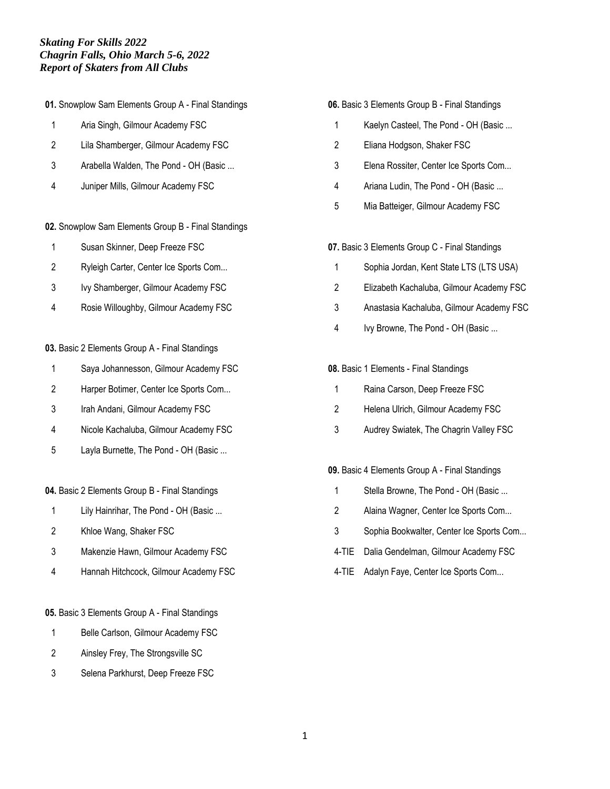**01.** Snowplow Sam Elements Group A - Final Standings

- Aria Singh, Gilmour Academy FSC
- Lila Shamberger, Gilmour Academy FSC
- Arabella Walden, The Pond OH (Basic ...
- Juniper Mills, Gilmour Academy FSC
- **02.** Snowplow Sam Elements Group B Final Standings
- Susan Skinner, Deep Freeze FSC
- Ryleigh Carter, Center Ice Sports Com...
- Ivy Shamberger, Gilmour Academy FSC
- Rosie Willoughby, Gilmour Academy FSC
- **03.** Basic 2 Elements Group A Final Standings
- Saya Johannesson, Gilmour Academy FSC
- Harper Botimer, Center Ice Sports Com...
- Irah Andani, Gilmour Academy FSC
- Nicole Kachaluba, Gilmour Academy FSC
- Layla Burnette, The Pond OH (Basic ...

### **04.** Basic 2 Elements Group B - Final Standings

- Lily Hainrihar, The Pond OH (Basic ...
- Khloe Wang, Shaker FSC
- Makenzie Hawn, Gilmour Academy FSC
- Hannah Hitchcock, Gilmour Academy FSC
- **05.** Basic 3 Elements Group A Final Standings
- 1 Belle Carlson, Gilmour Academy FSC
- Ainsley Frey, The Strongsville SC
- Selena Parkhurst, Deep Freeze FSC

### **06.** Basic 3 Elements Group B - Final Standings

- Kaelyn Casteel, The Pond OH (Basic ...
- Eliana Hodgson, Shaker FSC
- Elena Rossiter, Center Ice Sports Com...
- Ariana Ludin, The Pond OH (Basic ...
- Mia Batteiger, Gilmour Academy FSC

### **07.** Basic 3 Elements Group C - Final Standings

- Sophia Jordan, Kent State LTS (LTS USA)
- Elizabeth Kachaluba, Gilmour Academy FSC
- Anastasia Kachaluba, Gilmour Academy FSC
- Ivy Browne, The Pond OH (Basic ...

### **08.** Basic 1 Elements - Final Standings

- Raina Carson, Deep Freeze FSC
- Helena Ulrich, Gilmour Academy FSC
- Audrey Swiatek, The Chagrin Valley FSC

### **09.** Basic 4 Elements Group A - Final Standings

- Stella Browne, The Pond OH (Basic ...
- Alaina Wagner, Center Ice Sports Com...
- Sophia Bookwalter, Center Ice Sports Com...
- 4-TIE Dalia Gendelman, Gilmour Academy FSC
- 4-TIE Adalyn Faye, Center Ice Sports Com...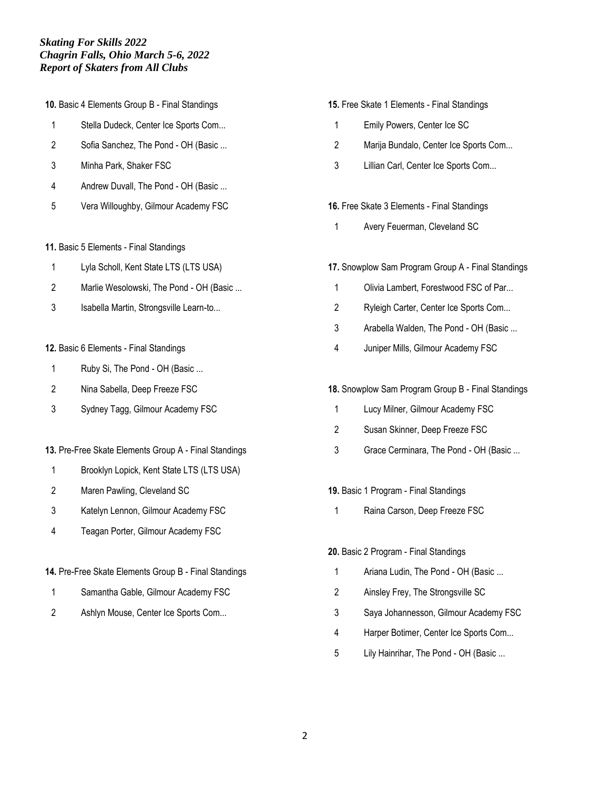- **10.** Basic 4 Elements Group B Final Standings
- Stella Dudeck, Center Ice Sports Com...
- Sofia Sanchez, The Pond OH (Basic ...
- Minha Park, Shaker FSC
- 4 Andrew Duvall, The Pond OH (Basic ...
- Vera Willoughby, Gilmour Academy FSC
- **11.** Basic 5 Elements Final Standings
- Lyla Scholl, Kent State LTS (LTS USA)
- 2 Marlie Wesolowski, The Pond OH (Basic ...
- Isabella Martin, Strongsville Learn-to...
- **12.** Basic 6 Elements Final Standings
- 1 Ruby Si, The Pond OH (Basic ...
- Nina Sabella, Deep Freeze FSC
- Sydney Tagg, Gilmour Academy FSC
- **13.** Pre-Free Skate Elements Group A Final Standings
- Brooklyn Lopick, Kent State LTS (LTS USA)
- Maren Pawling, Cleveland SC
- Katelyn Lennon, Gilmour Academy FSC
- Teagan Porter, Gilmour Academy FSC
- **14.** Pre-Free Skate Elements Group B Final Standings
- Samantha Gable, Gilmour Academy FSC
- Ashlyn Mouse, Center Ice Sports Com...
- **15.** Free Skate 1 Elements Final Standings
- Emily Powers, Center Ice SC
- Marija Bundalo, Center Ice Sports Com...
- Lillian Carl, Center Ice Sports Com...
- **16.** Free Skate 3 Elements Final Standings
	- Avery Feuerman, Cleveland SC
- **17.** Snowplow Sam Program Group A Final Standings
	- Olivia Lambert, Forestwood FSC of Par...
	- Ryleigh Carter, Center Ice Sports Com...
	- Arabella Walden, The Pond OH (Basic ...
	- Juniper Mills, Gilmour Academy FSC
- **18.** Snowplow Sam Program Group B Final Standings
- Lucy Milner, Gilmour Academy FSC
- Susan Skinner, Deep Freeze FSC
- Grace Cerminara, The Pond OH (Basic ...
- **19.** Basic 1 Program Final Standings
	- Raina Carson, Deep Freeze FSC

#### **20.** Basic 2 Program - Final Standings

- 1 Ariana Ludin, The Pond OH (Basic ...
- Ainsley Frey, The Strongsville SC
- Saya Johannesson, Gilmour Academy FSC
- Harper Botimer, Center Ice Sports Com...
- Lily Hainrihar, The Pond OH (Basic ...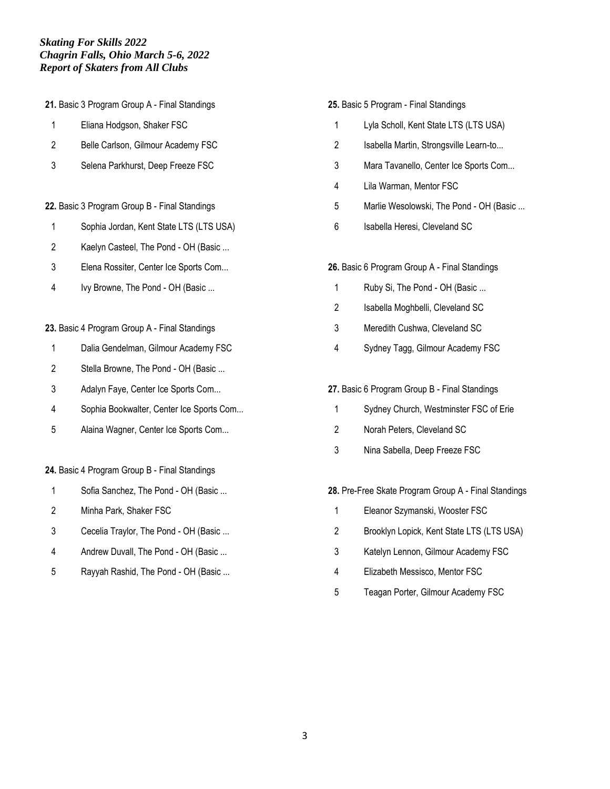**21.** Basic 3 Program Group A - Final Standings

- Eliana Hodgson, Shaker FSC
- Belle Carlson, Gilmour Academy FSC
- Selena Parkhurst, Deep Freeze FSC

### **22.** Basic 3 Program Group B - Final Standings

- Sophia Jordan, Kent State LTS (LTS USA)
- Kaelyn Casteel, The Pond OH (Basic ...
- Elena Rossiter, Center Ice Sports Com...
- Ivy Browne, The Pond OH (Basic ...

### **23.** Basic 4 Program Group A - Final Standings

- Dalia Gendelman, Gilmour Academy FSC
- 2 Stella Browne, The Pond OH (Basic ...
- Adalyn Faye, Center Ice Sports Com...
- Sophia Bookwalter, Center Ice Sports Com...
- Alaina Wagner, Center Ice Sports Com...

### **24.** Basic 4 Program Group B - Final Standings

- 1 Sofia Sanchez, The Pond OH (Basic ...
- Minha Park, Shaker FSC
- Cecelia Traylor, The Pond OH (Basic ...
- Andrew Duvall, The Pond OH (Basic ...
- Rayyah Rashid, The Pond OH (Basic ...

#### **25.** Basic 5 Program - Final Standings

- Lyla Scholl, Kent State LTS (LTS USA)
- 2 Isabella Martin, Strongsville Learn-to...
- Mara Tavanello, Center Ice Sports Com...
- Lila Warman, Mentor FSC
- Marlie Wesolowski, The Pond OH (Basic ...
- Isabella Heresi, Cleveland SC

### **26.** Basic 6 Program Group A - Final Standings

- 1 Ruby Si, The Pond OH (Basic ...
- Isabella Moghbelli, Cleveland SC
- Meredith Cushwa, Cleveland SC
- Sydney Tagg, Gilmour Academy FSC

### **27.** Basic 6 Program Group B - Final Standings

- Sydney Church, Westminster FSC of Erie
- Norah Peters, Cleveland SC
- Nina Sabella, Deep Freeze FSC

### **28.** Pre-Free Skate Program Group A - Final Standings

- Eleanor Szymanski, Wooster FSC
- Brooklyn Lopick, Kent State LTS (LTS USA)
- Katelyn Lennon, Gilmour Academy FSC
- Elizabeth Messisco, Mentor FSC
- Teagan Porter, Gilmour Academy FSC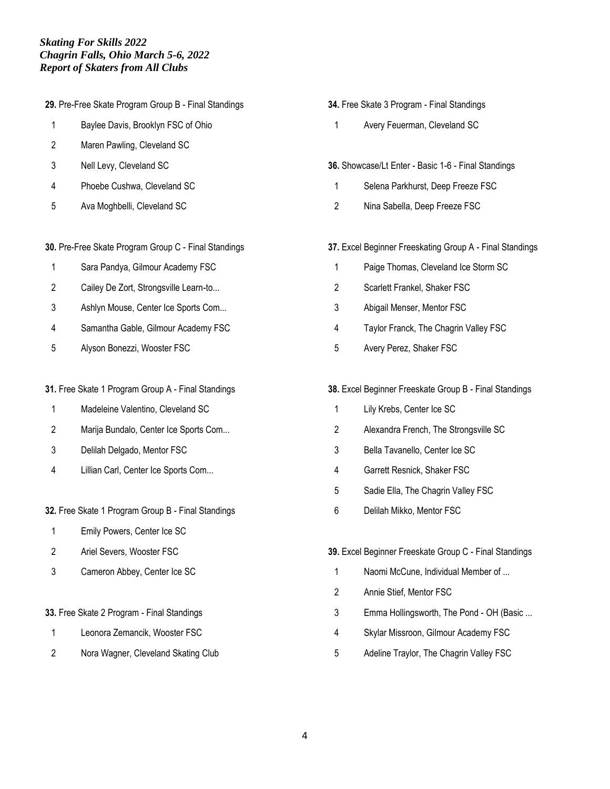**29.** Pre-Free Skate Program Group B - Final Standings

- 1 Baylee Davis, Brooklyn FSC of Ohio
- Maren Pawling, Cleveland SC
- Nell Levy, Cleveland SC
- Phoebe Cushwa, Cleveland SC
- Ava Moghbelli, Cleveland SC
- **30.** Pre-Free Skate Program Group C Final Standings
- Sara Pandya, Gilmour Academy FSC
- Cailey De Zort, Strongsville Learn-to...
- Ashlyn Mouse, Center Ice Sports Com...
- Samantha Gable, Gilmour Academy FSC
- Alyson Bonezzi, Wooster FSC
- **31.** Free Skate 1 Program Group A Final Standings
- Madeleine Valentino, Cleveland SC
- Marija Bundalo, Center Ice Sports Com...
- Delilah Delgado, Mentor FSC
- Lillian Carl, Center Ice Sports Com...

### **32.** Free Skate 1 Program Group B - Final Standings

- Emily Powers, Center Ice SC
- Ariel Severs, Wooster FSC
- Cameron Abbey, Center Ice SC
- **33.** Free Skate 2 Program Final Standings
- Leonora Zemancik, Wooster FSC
- Nora Wagner, Cleveland Skating Club
- **34.** Free Skate 3 Program Final Standings
- Avery Feuerman, Cleveland SC
- **36.** Showcase/Lt Enter Basic 1-6 Final Standings
- Selena Parkhurst, Deep Freeze FSC
- Nina Sabella, Deep Freeze FSC
- **37.** Excel Beginner Freeskating Group A Final Standings
	- Paige Thomas, Cleveland Ice Storm SC
- Scarlett Frankel, Shaker FSC
- Abigail Menser, Mentor FSC
- Taylor Franck, The Chagrin Valley FSC
- Avery Perez, Shaker FSC
- **38.** Excel Beginner Freeskate Group B Final Standings
- Lily Krebs, Center Ice SC
- Alexandra French, The Strongsville SC
- Bella Tavanello, Center Ice SC
- Garrett Resnick, Shaker FSC
- Sadie Ella, The Chagrin Valley FSC
- Delilah Mikko, Mentor FSC
- **39.** Excel Beginner Freeskate Group C Final Standings
	- Naomi McCune, Individual Member of ...
	- Annie Stief, Mentor FSC
	- Emma Hollingsworth, The Pond OH (Basic ...
	- Skylar Missroon, Gilmour Academy FSC
	- Adeline Traylor, The Chagrin Valley FSC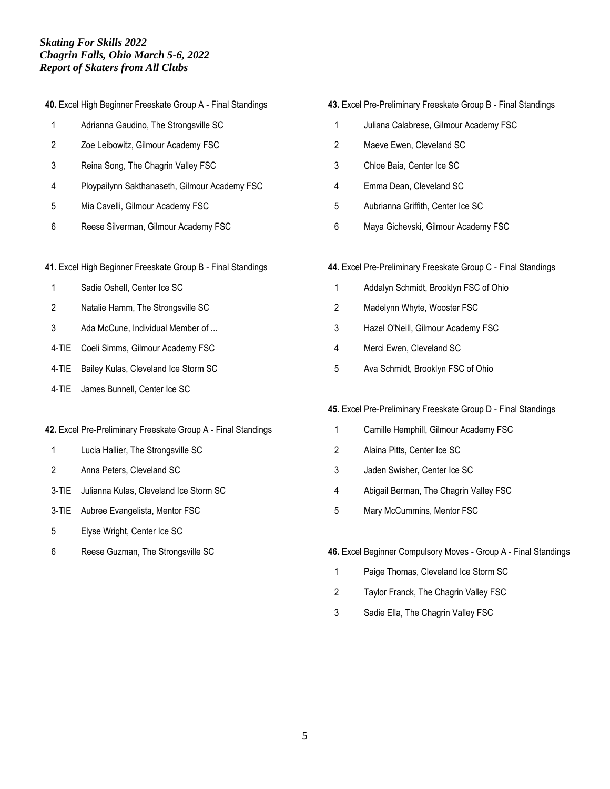|  |  | 40. Excel High Beginner Freeskate Group A - Final Standings |  |  |  |
|--|--|-------------------------------------------------------------|--|--|--|
|  |  |                                                             |  |  |  |

- Adrianna Gaudino, The Strongsville SC
- Zoe Leibowitz, Gilmour Academy FSC
- Reina Song, The Chagrin Valley FSC
- Ploypailynn Sakthanaseth, Gilmour Academy FSC
- Mia Cavelli, Gilmour Academy FSC
- Reese Silverman, Gilmour Academy FSC
- **41.** Excel High Beginner Freeskate Group B Final Standings
- Sadie Oshell, Center Ice SC
- Natalie Hamm, The Strongsville SC
- Ada McCune, Individual Member of ...
- 4-TIE Coeli Simms, Gilmour Academy FSC
- 4-TIE Bailey Kulas, Cleveland Ice Storm SC
- 4-TIE James Bunnell, Center Ice SC

### **42.** Excel Pre-Preliminary Freeskate Group A - Final Standings

- Lucia Hallier, The Strongsville SC
- Anna Peters, Cleveland SC
- 3-TIE Julianna Kulas, Cleveland Ice Storm SC
- 3-TIE Aubree Evangelista, Mentor FSC
- Elyse Wright, Center Ice SC
- Reese Guzman, The Strongsville SC

# **43.** Excel Pre-Preliminary Freeskate Group B - Final Standings

- Juliana Calabrese, Gilmour Academy FSC
- Maeve Ewen, Cleveland SC
- Chloe Baia, Center Ice SC
- Emma Dean, Cleveland SC
- Aubrianna Griffith, Center Ice SC
- Maya Gichevski, Gilmour Academy FSC
- **44.** Excel Pre-Preliminary Freeskate Group C Final Standings
	- Addalyn Schmidt, Brooklyn FSC of Ohio
	- Madelynn Whyte, Wooster FSC
	- Hazel O'Neill, Gilmour Academy FSC
- Merci Ewen, Cleveland SC
- Ava Schmidt, Brooklyn FSC of Ohio

### **45.** Excel Pre-Preliminary Freeskate Group D - Final Standings

- Camille Hemphill, Gilmour Academy FSC
- Alaina Pitts, Center Ice SC
- Jaden Swisher, Center Ice SC
- Abigail Berman, The Chagrin Valley FSC
- Mary McCummins, Mentor FSC
- **46.** Excel Beginner Compulsory Moves Group A Final Standings
- Paige Thomas, Cleveland Ice Storm SC
- Taylor Franck, The Chagrin Valley FSC
- Sadie Ella, The Chagrin Valley FSC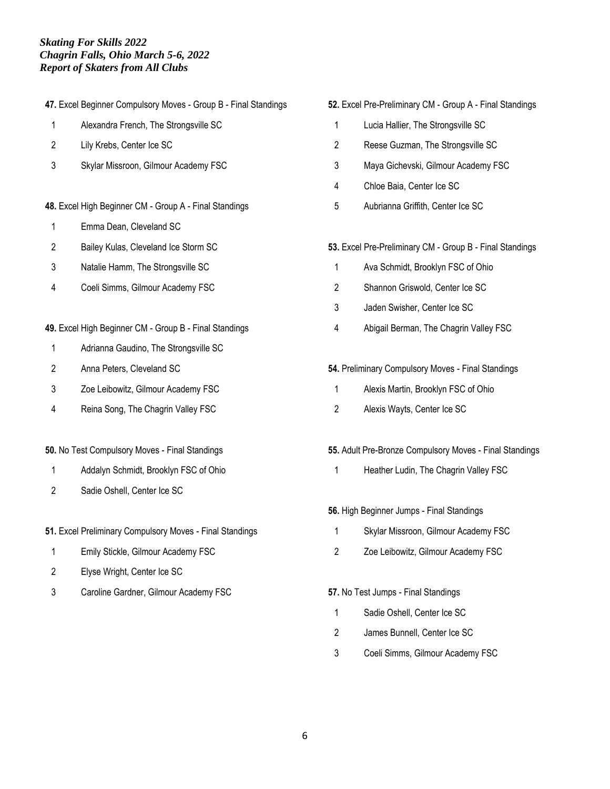**47.** Excel Beginner Compulsory Moves - Group B - Final Standings

- Alexandra French, The Strongsville SC
- Lily Krebs, Center Ice SC
- Skylar Missroon, Gilmour Academy FSC
- **48.** Excel High Beginner CM Group A Final Standings
- Emma Dean, Cleveland SC
- Bailey Kulas, Cleveland Ice Storm SC
- Natalie Hamm, The Strongsville SC
- Coeli Simms, Gilmour Academy FSC
- **49.** Excel High Beginner CM Group B Final Standings
- Adrianna Gaudino, The Strongsville SC
- Anna Peters, Cleveland SC
- Zoe Leibowitz, Gilmour Academy FSC
- Reina Song, The Chagrin Valley FSC

### **50.** No Test Compulsory Moves - Final Standings

- Addalyn Schmidt, Brooklyn FSC of Ohio
- Sadie Oshell, Center Ice SC

**51.** Excel Preliminary Compulsory Moves - Final Standings

- Emily Stickle, Gilmour Academy FSC
- Elyse Wright, Center Ice SC
- Caroline Gardner, Gilmour Academy FSC

### **52.** Excel Pre-Preliminary CM - Group A - Final Standings

- Lucia Hallier, The Strongsville SC
- Reese Guzman, The Strongsville SC
- Maya Gichevski, Gilmour Academy FSC
- Chloe Baia, Center Ice SC
- Aubrianna Griffith, Center Ice SC

### **53.** Excel Pre-Preliminary CM - Group B - Final Standings

- Ava Schmidt, Brooklyn FSC of Ohio
- Shannon Griswold, Center Ice SC
- Jaden Swisher, Center Ice SC
- Abigail Berman, The Chagrin Valley FSC

### **54.** Preliminary Compulsory Moves - Final Standings

- Alexis Martin, Brooklyn FSC of Ohio
- Alexis Wayts, Center Ice SC

### **55.** Adult Pre-Bronze Compulsory Moves - Final Standings

1 Heather Ludin, The Chagrin Valley FSC

### **56.** High Beginner Jumps - Final Standings

- Skylar Missroon, Gilmour Academy FSC
- Zoe Leibowitz, Gilmour Academy FSC

### **57.** No Test Jumps - Final Standings

- Sadie Oshell, Center Ice SC
- James Bunnell, Center Ice SC
- Coeli Simms, Gilmour Academy FSC